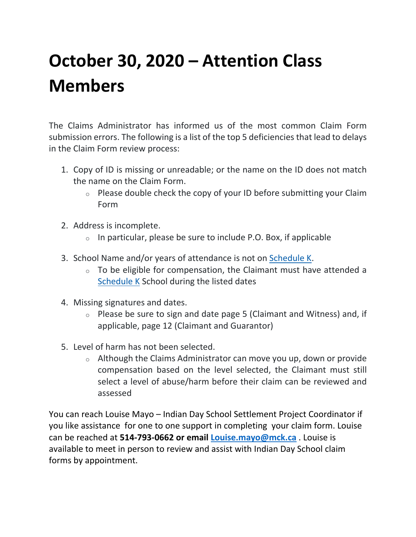## **October 30, 2020 – Attention Class Members**

The Claims Administrator has informed us of the most common Claim Form submission errors. The following is a list of the top 5 deficiencies that lead to delays in the Claim Form review process:

- 1. Copy of ID is missing or unreadable; or the name on the ID does not match the name on the Claim Form.
	- $\circ$  Please double check the copy of your ID before submitting your Claim Form
- 2. Address is incomplete.
	- $\circ$  In particular, please be sure to include P.O. Box, if applicable
- 3. School Name and/or years of attendance is not on [Schedule K.](http://indiandayschools.com/en/wp-content/uploads/schedule-k.pdf)
	- $\circ$  To be eligible for compensation, the Claimant must have attended a [Schedule K](http://indiandayschools.com/en/wp-content/uploads/schedule-k.pdf) School during the listed dates
- 4. Missing signatures and dates.
	- $\circ$  Please be sure to sign and date page 5 (Claimant and Witness) and, if applicable, page 12 (Claimant and Guarantor)
- 5. Level of harm has not been selected.
	- $\circ$  Although the Claims Administrator can move you up, down or provide compensation based on the level selected, the Claimant must still select a level of abuse/harm before their claim can be reviewed and assessed

You can reach Louise Mayo – Indian Day School Settlement Project Coordinator if you like assistance for one to one support in completing your claim form. Louise can be reached at **514-793-0662 or email [Louise.mayo@mck.ca](mailto:Louise.mayo@mck.ca)** . Louise is available to meet in person to review and assist with Indian Day School claim forms by appointment.